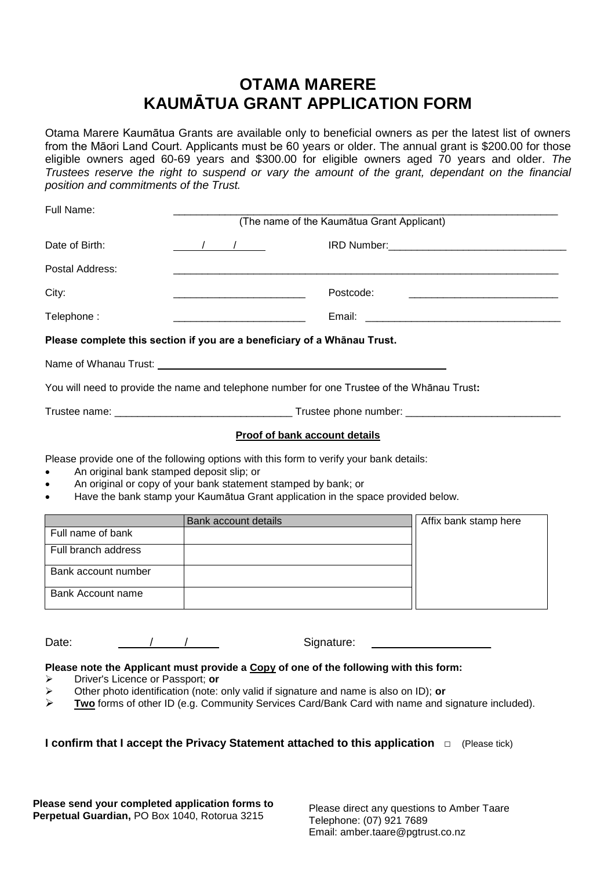## **OTAMA MARERE KAUMĀTUA GRANT APPLICATION FORM**

Otama Marere Kaumātua Grants are available only to beneficial owners as per the latest list of owners from the Māori Land Court. Applicants must be 60 years or older. The annual grant is \$200.00 for those eligible owners aged 60-69 years and \$300.00 for eligible owners aged 70 years and older. *The Trustees reserve the right to suspend or vary the amount of the grant, dependant on the financial position and commitments of the Trust.*

| Full Name:      | (The name of the Kaumātua Grant Applicant)                                                                            |           |  |
|-----------------|-----------------------------------------------------------------------------------------------------------------------|-----------|--|
| Date of Birth:  | $\frac{1}{\sqrt{2}}$                                                                                                  |           |  |
| Postal Address: |                                                                                                                       |           |  |
| City:           | <u> 1989 - Johann Harry Harry Harry Harry Harry Harry Harry Harry Harry Harry Harry Harry Harry Harry Harry Harry</u> | Postcode: |  |
| Telephone:      | <u> 1980 - Johann Barbara, martin da kasar Amerikaan kasar dalam dalam dalam dalam dalam dalam dalam dalam dalam </u> |           |  |
|                 | Please complete this section if you are a beneficiary of a Whānau Trust.                                              |           |  |
|                 |                                                                                                                       |           |  |
|                 |                                                                                                                       |           |  |

You will need to provide the name and telephone number for one Trustee of the Whānau Trust**:**

| $\sim$<br>Trustee name: | Trustee phone number: |
|-------------------------|-----------------------|
|                         |                       |

#### **Proof of bank account details**

Please provide one of the following options with this form to verify your bank details:

- An original bank stamped deposit slip; or
- An original or copy of your bank statement stamped by bank; or
- Have the bank stamp your Kaumātua Grant application in the space provided below.

|                     | <b>Bank account details</b> | Affix bank stamp here |
|---------------------|-----------------------------|-----------------------|
| Full name of bank   |                             |                       |
| Full branch address |                             |                       |
| Bank account number |                             |                       |
| Bank Account name   |                             |                       |

Date:  $\frac{1}{2}$  /  $\frac{1}{2}$  Signature:

#### **Please note the Applicant must provide a Copy of one of the following with this form:**

- Driver's Licence or Passport; **or**
- Other photo identification (note: only valid if signature and name is also on ID); **or**
- **Two** forms of other ID (e.g. Community Services Card/Bank Card with name and signature included).

### **I confirm that I accept the Privacy Statement attached to this application** □ (Please tick)